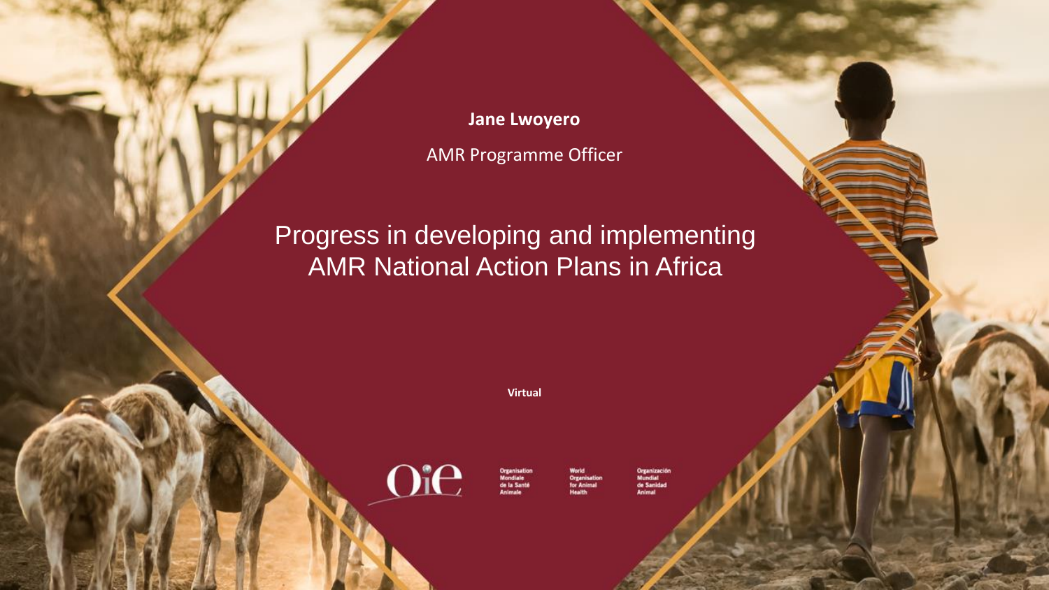**Jane Lwoyero** AMR Programme Officer

### Progress in developing and implementing AMR National Action Plans in Africa

**Virtual**



de la Sant

e Ani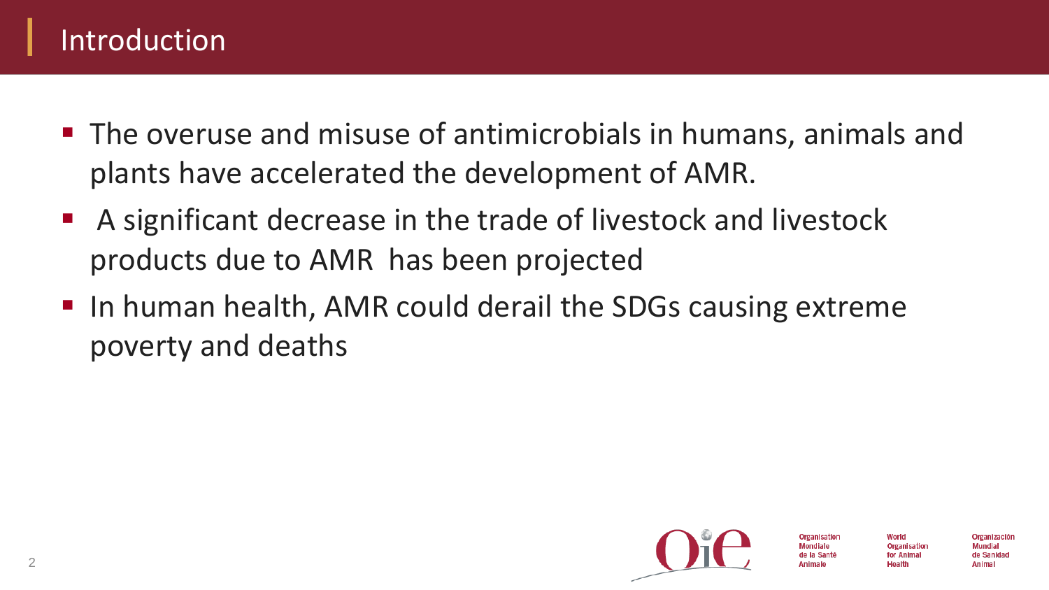## Introduction

- The overuse and misuse of antimicrobials in humans, animals and plants have accelerated the development of AMR.
- A significant decrease in the trade of livestock and livestock products due to AMR has been projected
- In human health, AMR could derail the SDGs causing extreme poverty and deaths



Organisation for Animal Health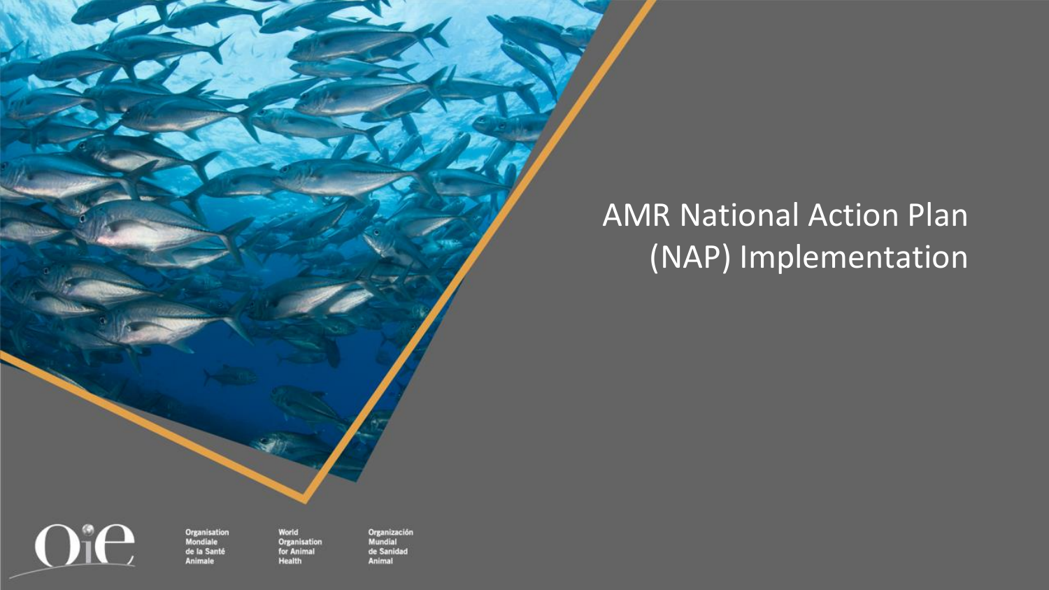# AMR National Action Plan (NAP) Implementation

Oie

World Organisation for Animal **Health** 

**Organisation**<br>Mondiale

de la Santé

**Animale**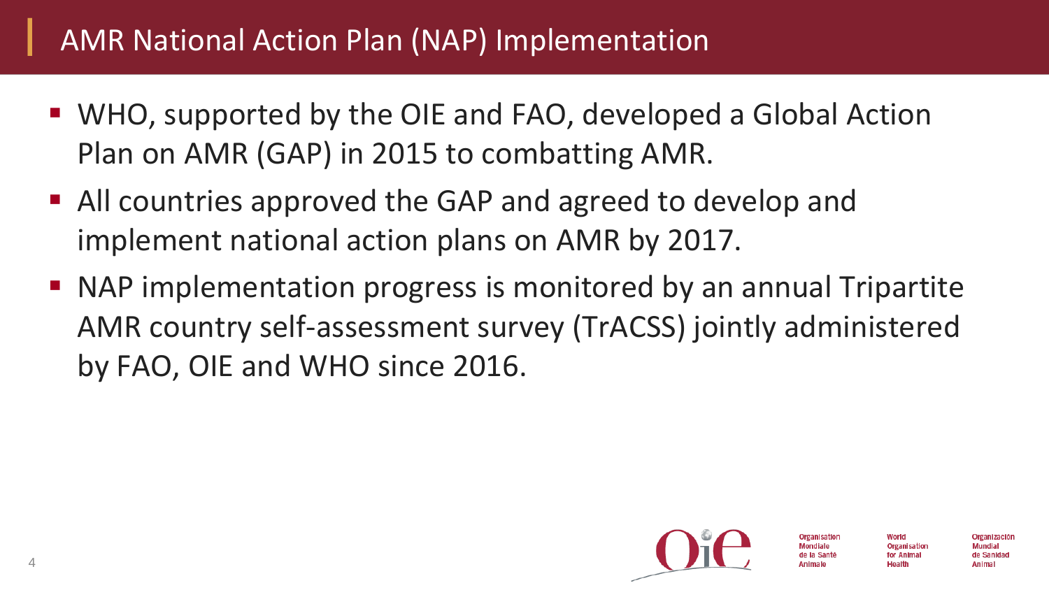## AMR National Action Plan (NAP) Implementation

- WHO, supported by the OIE and FAO, developed a Global Action Plan on AMR (GAP) in 2015 to combatting AMR.
- All countries approved the GAP and agreed to develop and implement national action plans on AMR by 2017.
- NAP implementation progress is monitored by an annual Tripartite AMR country self-assessment survey (TrACSS) jointly administered by FAO, OIE and WHO since 2016.



Organización

Mundial

de Sanidad **Animal**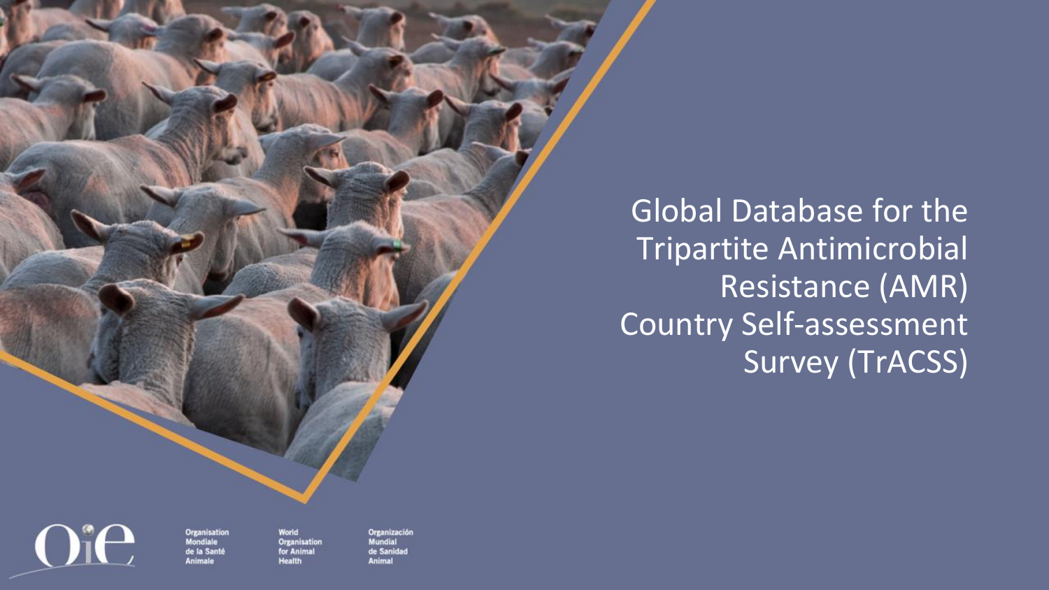Global Database for the Tripartite Antimicrobial Resistance (AMR) Country Self-assessment Survey (TrACSS)

**Organisation Mondiale** de la Santé Inimale

Oie

World **Organisation** for Animal **Health**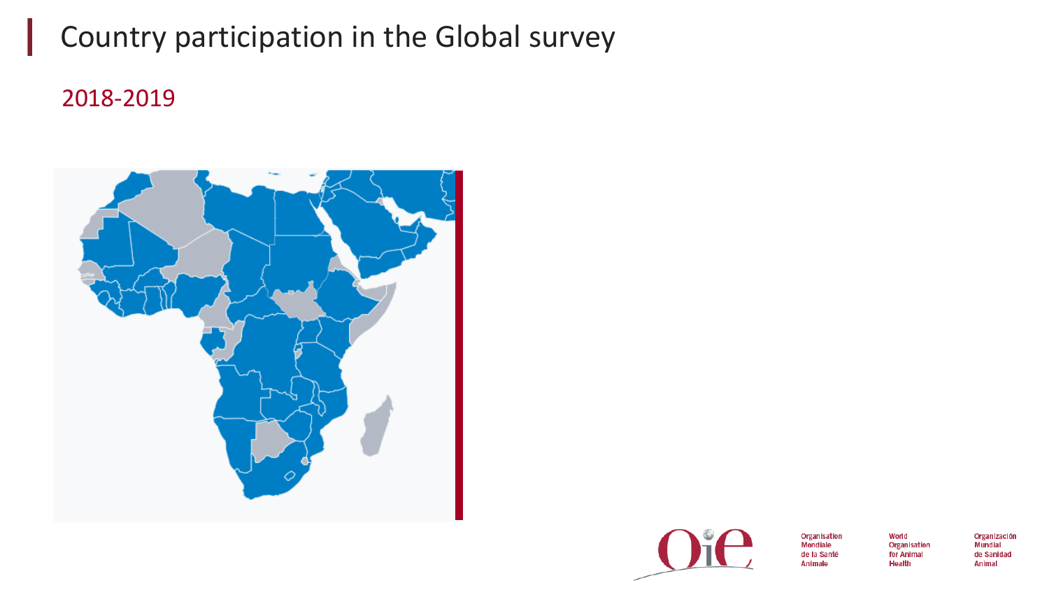### Country participation in the Global survey

### 2018-2019





Organisation **Mondiale** de la Santé Animale

World Organisation for Animal Health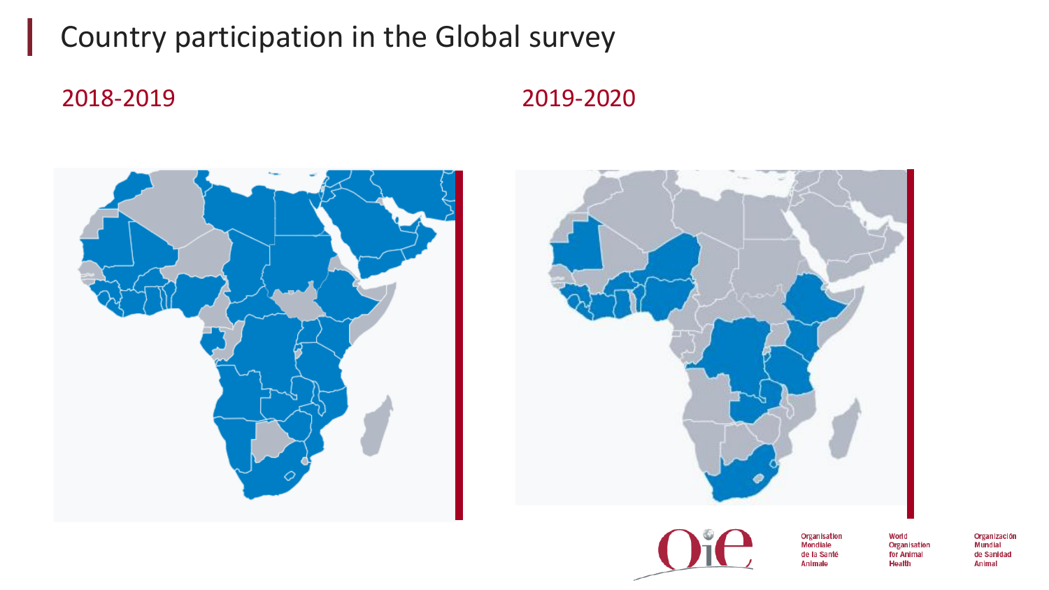### Country participation in the Global survey

2018-2019 2019-2020







Organisation **Mondiale** de la Santé Animale

World Organisation for Animal Health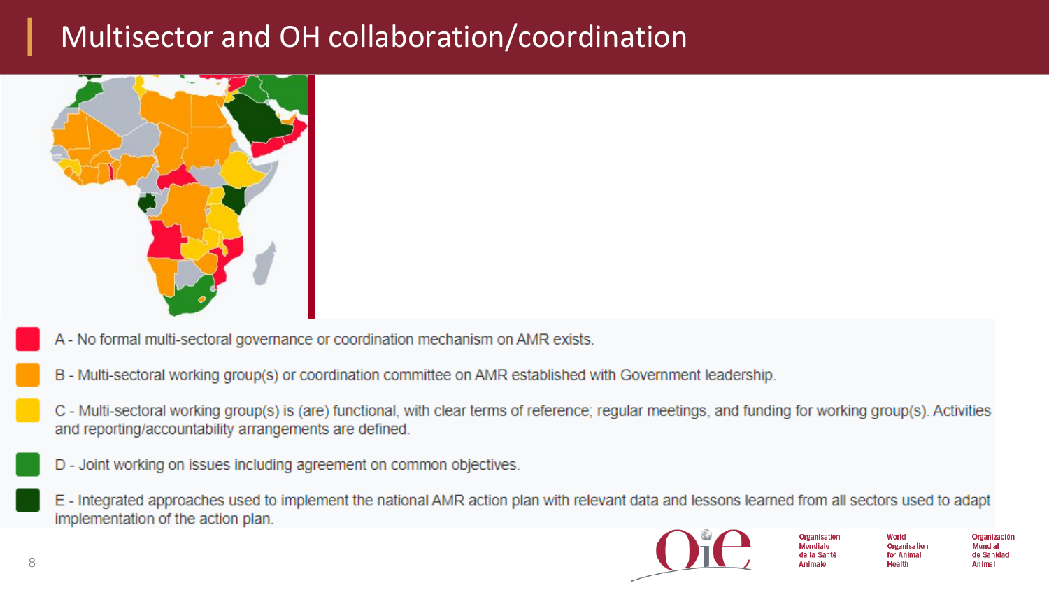### Multisector and OH collaboration/coordination



- A No formal multi-sectoral governance or coordination mechanism on AMR exists.
- B Multi-sectoral working group(s) or coordination committee on AMR established with Government leadership.
- C Multi-sectoral working group(s) is (are) functional, with clear terms of reference; regular meetings, and funding for working group(s). Activities and reporting/accountability arrangements are defined.
- D Joint working on issues including agreement on common objectives.
- E Integrated approaches used to implement the national AMR action plan with relevant data and lessons learned from all sectors used to adapt implementation of the action plan.



Organisation **Mondiale** de la Sante **Animale** 

World Organisation for Animal Health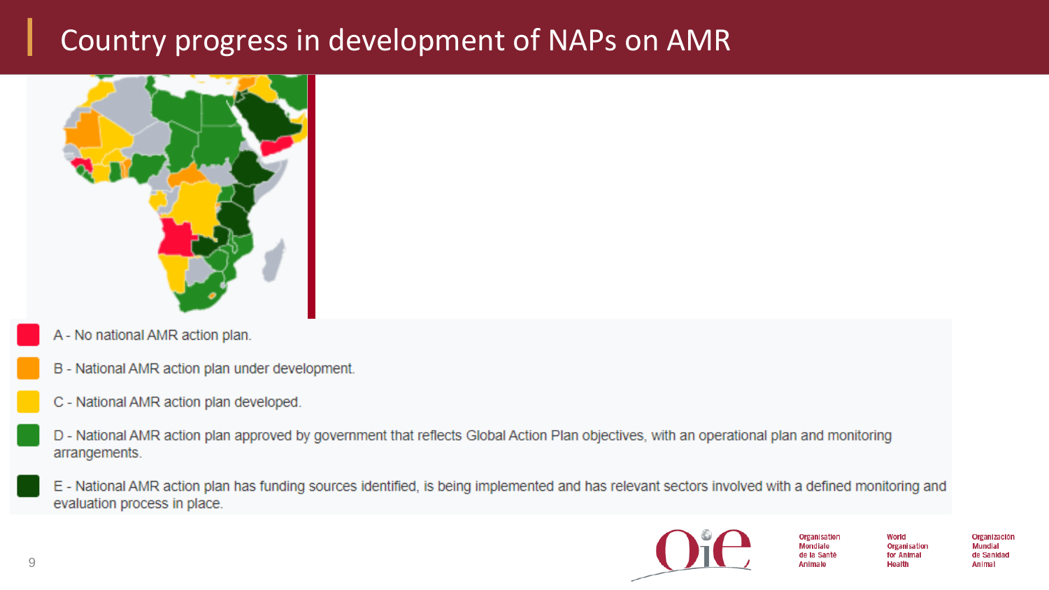### Country progress in development of NAPs on AMR



- A No national AMR action plan.
- B National AMR action plan under development.
- C National AMR action plan developed.
- D National AMR action plan approved by government that reflects Global Action Plan objectives, with an operational plan and monitoring arrangements.
- E National AMR action plan has funding sources identified, is being implemented and has relevant sectors involved with a defined monitoring and evaluation process in place.



Organisation **Mondiale** de la Santé **Animale** 

World Organisation for Animal Health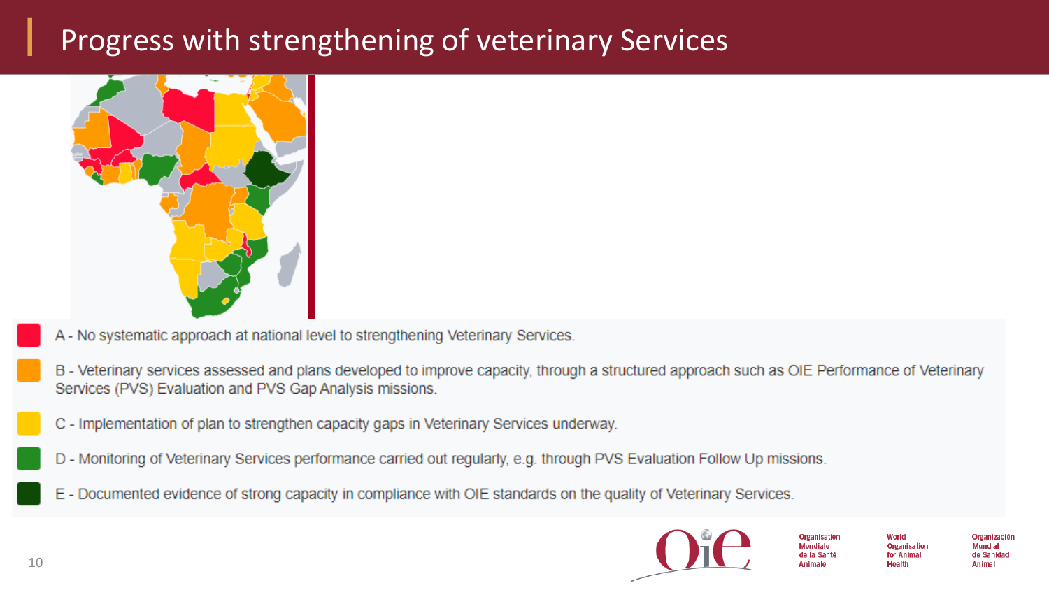### Progress with strengthening of veterinary Services



- A No systematic approach at national level to strengthening Veterinary Services.
- B Veterinary services assessed and plans developed to improve capacity, through a structured approach such as OIE Performance of Veterinary Services (PVS) Evaluation and PVS Gap Analysis missions.
- C Implementation of plan to strengthen capacity gaps in Veterinary Services underway.
- D Monitoring of Veterinary Services performance carried out regularly, e.g. through PVS Evaluation Follow Up missions.
- E Documented evidence of strong capacity in compliance with OIE standards on the quality of Veterinary Services.

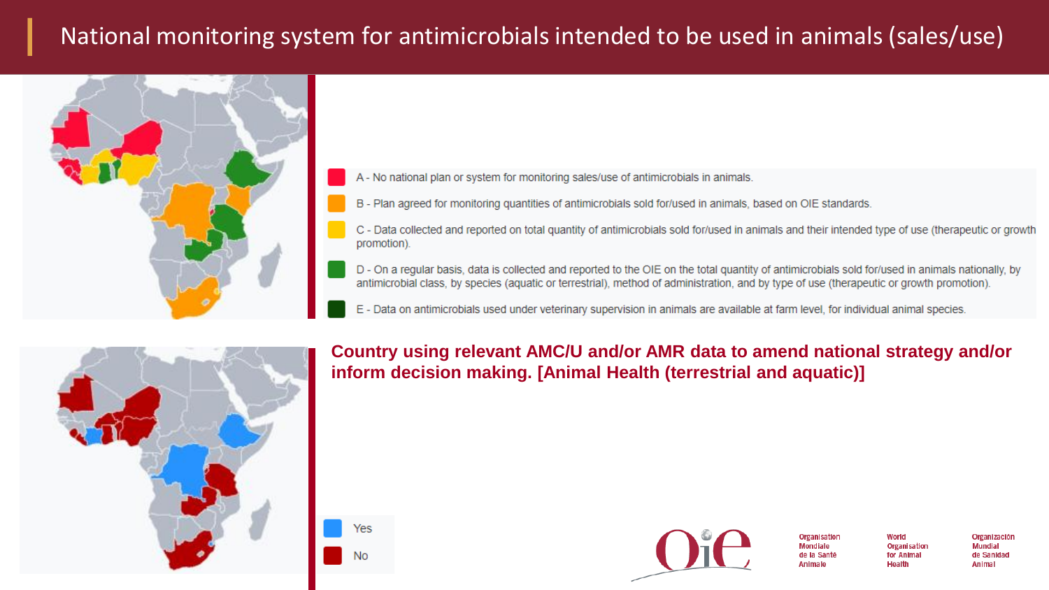### National monitoring system for antimicrobials intended to be used in animals (sales/use)



A - No national plan or system for monitoring sales/use of antimicrobials in animals.

B - Plan agreed for monitoring quantities of antimicrobials sold for/used in animals, based on OIE standards.

C - Data collected and reported on total quantity of antimicrobials sold for/used in animals and their intended type of use (therapeutic or growth promotion).

D - On a regular basis, data is collected and reported to the OIE on the total quantity of antimicrobials sold for/used in animals nationally, by antimicrobial class, by species (aquatic or terrestrial), method of administration, and by type of use (therapeutic or growth promotion).

E - Data on antimicrobials used under veterinary supervision in animals are available at farm level, for individual animal species.



Yes

Country using relevant AMC/U and/or AMR data to amend national strategy and/or inform decision making. [Animal Health (terrestrial and aquatic)]



**Organisation** Mondiale de la Sant **Animale** 

World Organisation for Animal Health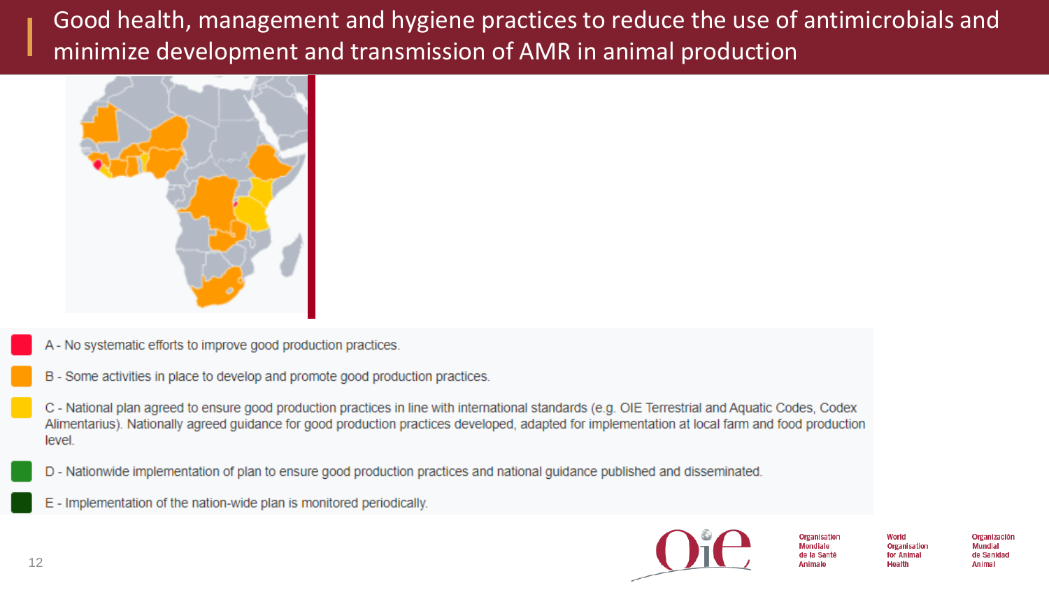Good health, management and hygiene practices to reduce the use of antimicrobials and minimize development and transmission of AMR in animal production



- A No systematic efforts to improve good production practices.
- B Some activities in place to develop and promote good production practices.

C - National plan agreed to ensure good production practices in line with international standards (e.g. OIE Terrestrial and Aquatic Codes, Codex Alimentarius). Nationally agreed guidance for good production practices developed, adapted for implementation at local farm and food production level.

- D Nationwide implementation of plan to ensure good production practices and national guidance published and disseminated.
- E Implementation of the nation-wide plan is monitored periodically.



Organisation **Mondiale** de la Santé **Animale** 

World Organisation for Animal Health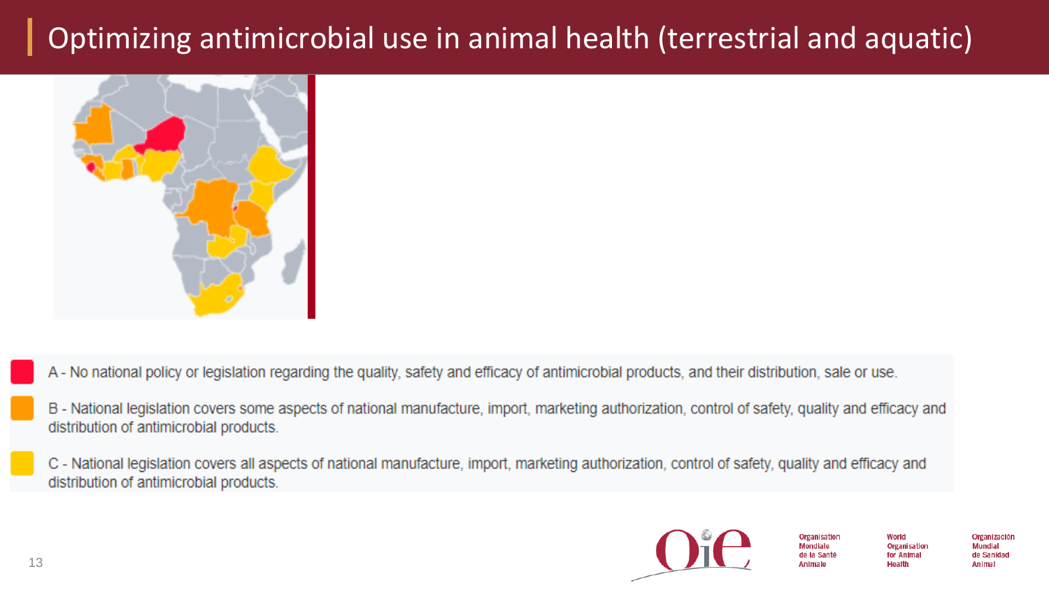## Optimizing antimicrobial use in animal health (terrestrial and aquatic)



- A No national policy or legislation regarding the quality, safety and efficacy of antimicrobial products, and their distribution, sale or use.
- B National legislation covers some aspects of national manufacture, import, marketing authorization, control of safety, quality and efficacy and distribution of antimicrobial products.
- C National legislation covers all aspects of national manufacture, import, marketing authorization, control of safety, quality and efficacy and distribution of antimicrobial products.



Organisation **Mondiale** de la Santé Animale

World Organisation for Animal Health